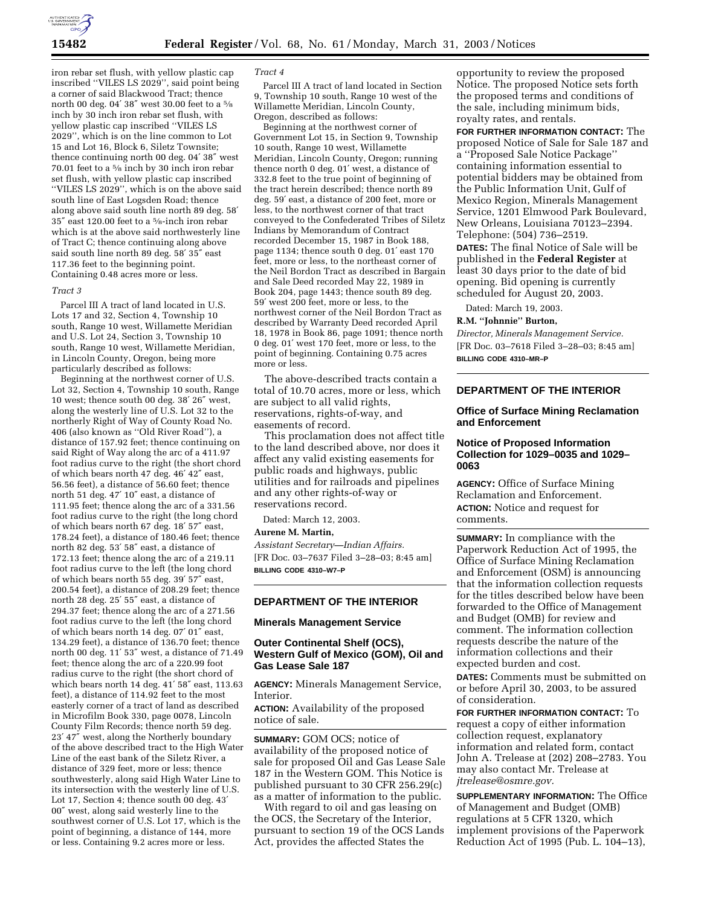

iron rebar set flush, with yellow plastic cap inscribed ''VILES LS 2029'', said point being a corner of said Blackwood Tract; thence north 00 deg. 04′ 38″ west 30.00 feet to a 5⁄8 inch by 30 inch iron rebar set flush, with yellow plastic cap inscribed ''VILES LS 2029'', which is on the line common to Lot 15 and Lot 16, Block 6, Siletz Townsite; thence continuing north 00 deg. 04′ 38″ west 70.01 feet to a 5⁄8 inch by 30 inch iron rebar set flush, with yellow plastic cap inscribed ''VILES LS 2029'', which is on the above said south line of East Logsden Road; thence along above said south line north 89 deg. 58′ 35″ east 120.00 feet to a 5⁄8-inch iron rebar which is at the above said northwesterly line of Tract C; thence continuing along above said south line north 89 deg. 58′ 35″ east 117.36 feet to the beginning point. Containing 0.48 acres more or less.

#### *Tract 3*

Parcel III A tract of land located in U.S. Lots 17 and 32, Section 4, Township 10 south, Range 10 west, Willamette Meridian and U.S. Lot 24, Section 3, Township 10 south, Range 10 west, Willamette Meridian, in Lincoln County, Oregon, being more particularly described as follows:

Beginning at the northwest corner of U.S. Lot 32, Section 4, Township 10 south, Range 10 west; thence south 00 deg. 38′ 26″ west, along the westerly line of U.S. Lot 32 to the northerly Right of Way of County Road No. 406 (also known as ''Old River Road''), a distance of 157.92 feet; thence continuing on said Right of Way along the arc of a 411.97 foot radius curve to the right (the short chord of which bears north 47 deg. 46′ 42″ east, 56.56 feet), a distance of 56.60 feet; thence north 51 deg. 47′ 10″ east, a distance of 111.95 feet; thence along the arc of a 331.56 foot radius curve to the right (the long chord of which bears north 67 deg. 18′ 57″ east, 178.24 feet), a distance of 180.46 feet; thence north 82 deg. 53′ 58″ east, a distance of 172.13 feet; thence along the arc of a 219.11 foot radius curve to the left (the long chord of which bears north 55 deg. 39′ 57″ east, 200.54 feet), a distance of 208.29 feet; thence north 28 deg. 25′ 55″ east, a distance of 294.37 feet; thence along the arc of a 271.56 foot radius curve to the left (the long chord of which bears north 14 deg. 07′ 01″ east, 134.29 feet), a distance of 136.70 feet; thence north 00 deg. 11′ 53″ west, a distance of 71.49 feet; thence along the arc of a 220.99 foot radius curve to the right (the short chord of which bears north 14 deg. 41′ 58″ east, 113.63 feet), a distance of 114.92 feet to the most easterly corner of a tract of land as described in Microfilm Book 330, page 0078, Lincoln County Film Records; thence north 59 deg. 23′ 47″ west, along the Northerly boundary of the above described tract to the High Water Line of the east bank of the Siletz River, a distance of 329 feet, more or less; thence southwesterly, along said High Water Line to its intersection with the westerly line of U.S. Lot 17, Section 4; thence south 00 deg. 43′ 00″ west, along said westerly line to the southwest corner of U.S. Lot 17, which is the point of beginning, a distance of 144, more or less. Containing 9.2 acres more or less.

#### *Tract 4*

Parcel III A tract of land located in Section 9, Township 10 south, Range 10 west of the Willamette Meridian, Lincoln County, Oregon, described as follows:

Beginning at the northwest corner of Government Lot 15, in Section 9, Township 10 south, Range 10 west, Willamette Meridian, Lincoln County, Oregon; running thence north 0 deg. 01′ west, a distance of 332.8 feet to the true point of beginning of the tract herein described; thence north 89 deg. 59′ east, a distance of 200 feet, more or less, to the northwest corner of that tract conveyed to the Confederated Tribes of Siletz Indians by Memorandum of Contract recorded December 15, 1987 in Book 188, page 1134; thence south 0 deg. 01′ east 170 feet, more or less, to the northeast corner of the Neil Bordon Tract as described in Bargain and Sale Deed recorded May 22, 1989 in Book 204, page 1443; thence south 89 deg. 59′ west 200 feet, more or less, to the northwest corner of the Neil Bordon Tract as described by Warranty Deed recorded April 18, 1978 in Book 86, page 1091; thence north 0 deg. 01′ west 170 feet, more or less, to the point of beginning. Containing 0.75 acres more or less.

The above-described tracts contain a total of 10.70 acres, more or less, which are subject to all valid rights, reservations, rights-of-way, and easements of record.

This proclamation does not affect title to the land described above, nor does it affect any valid existing easements for public roads and highways, public utilities and for railroads and pipelines and any other rights-of-way or reservations record.

Dated: March 12, 2003.

#### **Aurene M. Martin,**

*Assistant Secretary—Indian Affairs.* [FR Doc. 03–7637 Filed 3–28–03; 8:45 am] **BILLING CODE 4310–W7–P**

## **DEPARTMENT OF THE INTERIOR**

## **Minerals Management Service**

# **Outer Continental Shelf (OCS), Western Gulf of Mexico (GOM), Oil and Gas Lease Sale 187**

**AGENCY:** Minerals Management Service, Interior.

**ACTION:** Availability of the proposed notice of sale.

**SUMMARY:** GOM OCS; notice of availability of the proposed notice of sale for proposed Oil and Gas Lease Sale 187 in the Western GOM. This Notice is published pursuant to 30 CFR 256.29(c) as a matter of information to the public.

With regard to oil and gas leasing on the OCS, the Secretary of the Interior, pursuant to section 19 of the OCS Lands Act, provides the affected States the

opportunity to review the proposed Notice. The proposed Notice sets forth the proposed terms and conditions of the sale, including minimum bids, royalty rates, and rentals.

**FOR FURTHER INFORMATION CONTACT:** The proposed Notice of Sale for Sale 187 and a ''Proposed Sale Notice Package'' containing information essential to potential bidders may be obtained from the Public Information Unit, Gulf of Mexico Region, Minerals Management Service, 1201 Elmwood Park Boulevard, New Orleans, Louisiana 70123–2394. Telephone: (504) 736–2519. **DATES:** The final Notice of Sale will be published in the **Federal Register** at least 30 days prior to the date of bid opening. Bid opening is currently scheduled for August 20, 2003.

Dated: March 19, 2003.

**R.M. ''Johnnie'' Burton,** 

*Director, Minerals Management Service.* [FR Doc. 03–7618 Filed 3–28–03; 8:45 am] **BILLING CODE 4310–MR–P**

# **DEPARTMENT OF THE INTERIOR**

# **Office of Surface Mining Reclamation and Enforcement**

## **Notice of Proposed Information Collection for 1029–0035 and 1029– 0063**

**AGENCY:** Office of Surface Mining Reclamation and Enforcement. **ACTION:** Notice and request for comments.

**SUMMARY:** In compliance with the Paperwork Reduction Act of 1995, the Office of Surface Mining Reclamation and Enforcement (OSM) is announcing that the information collection requests for the titles described below have been forwarded to the Office of Management and Budget (OMB) for review and comment. The information collection requests describe the nature of the information collections and their expected burden and cost.

**DATES:** Comments must be submitted on or before April 30, 2003, to be assured of consideration.

**FOR FURTHER INFORMATION CONTACT:** To request a copy of either information collection request, explanatory information and related form, contact John A. Trelease at (202) 208–2783. You may also contact Mr. Trelease at *jtrelease@osmre.gov.*

**SUPPLEMENTARY INFORMATION:** The Office of Management and Budget (OMB) regulations at 5 CFR 1320, which implement provisions of the Paperwork Reduction Act of 1995 (Pub. L. 104–13),